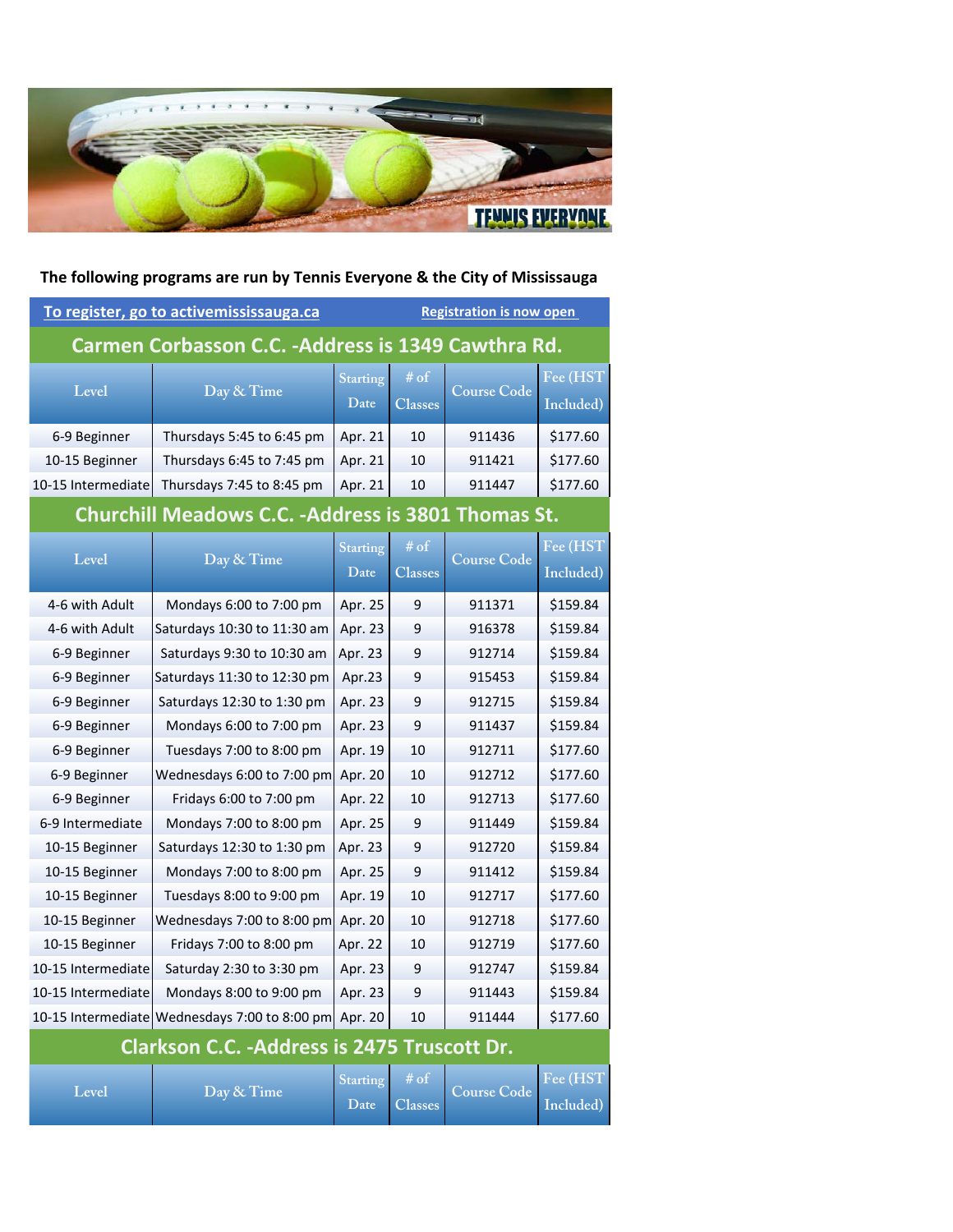

| To register, go to activemississauga.ca                    |                                                       |                         | <b>Registration is now open</b> |                    |                       |  |  |
|------------------------------------------------------------|-------------------------------------------------------|-------------------------|---------------------------------|--------------------|-----------------------|--|--|
| Carmen Corbasson C.C. -Address is 1349 Cawthra Rd.         |                                                       |                         |                                 |                    |                       |  |  |
| Level                                                      | Day & Time                                            | <b>Starting</b><br>Date | # of<br><b>Classes</b>          | <b>Course Code</b> | Fee (HST<br>Included) |  |  |
| 6-9 Beginner                                               | Thursdays 5:45 to 6:45 pm                             | Apr. 21                 | 10                              | 911436             | \$177.60              |  |  |
| 10-15 Beginner                                             | Thursdays 6:45 to 7:45 pm                             | Apr. 21                 | 10                              | 911421             | \$177.60              |  |  |
| 10-15 Intermediate                                         | Thursdays 7:45 to 8:45 pm                             | Apr. 21                 | 10                              | 911447             | \$177.60              |  |  |
| <b>Churchill Meadows C.C. - Address is 3801 Thomas St.</b> |                                                       |                         |                                 |                    |                       |  |  |
| Level                                                      | Day & Time                                            | <b>Starting</b><br>Date | $\#$ of<br><b>Classes</b>       | <b>Course Code</b> | Fee (HST<br>Included) |  |  |
| 4-6 with Adult                                             | Mondays 6:00 to 7:00 pm                               | Apr. 25                 | 9                               | 911371             | \$159.84              |  |  |
| 4-6 with Adult                                             | Saturdays 10:30 to 11:30 am                           | Apr. 23                 | 9                               | 916378             | \$159.84              |  |  |
| 6-9 Beginner                                               | Saturdays 9:30 to 10:30 am                            | Apr. 23                 | 9                               | 912714             | \$159.84              |  |  |
| 6-9 Beginner                                               | Saturdays 11:30 to 12:30 pm                           | Apr.23                  | 9                               | 915453             | \$159.84              |  |  |
| 6-9 Beginner                                               | Saturdays 12:30 to 1:30 pm                            | Apr. 23                 | 9                               | 912715             | \$159.84              |  |  |
| 6-9 Beginner                                               | Mondays 6:00 to 7:00 pm                               | Apr. 23                 | 9                               | 911437             | \$159.84              |  |  |
| 6-9 Beginner                                               | Tuesdays 7:00 to 8:00 pm                              | Apr. 19                 | 10                              | 912711             | \$177.60              |  |  |
| 6-9 Beginner                                               | Wednesdays 6:00 to 7:00 pm                            | Apr. 20                 | 10                              | 912712             | \$177.60              |  |  |
| 6-9 Beginner                                               | Fridays 6:00 to 7:00 pm                               | Apr. 22                 | 10                              | 912713             | \$177.60              |  |  |
| 6-9 Intermediate                                           | Mondays 7:00 to 8:00 pm                               | Apr. 25                 | 9                               | 911449             | \$159.84              |  |  |
| 10-15 Beginner                                             | Saturdays 12:30 to 1:30 pm                            | Apr. 23                 | 9                               | 912720             | \$159.84              |  |  |
| 10-15 Beginner                                             | Mondays 7:00 to 8:00 pm                               | Apr. 25                 | 9                               | 911412             | \$159.84              |  |  |
| 10-15 Beginner                                             | Tuesdays 8:00 to 9:00 pm                              | Apr. 19                 | 10                              | 912717             | \$177.60              |  |  |
| 10-15 Beginner                                             | Wednesdays 7:00 to 8:00 pm                            | Apr. 20                 | 10                              | 912718             | \$177.60              |  |  |
| 10-15 Beginner                                             | Fridays 7:00 to 8:00 pm                               | Apr. 22                 | 10                              | 912719             | \$177.60              |  |  |
| 10-15 Intermediate                                         | Saturday 2:30 to 3:30 pm                              | Apr. 23                 | 9                               | 912747             | \$159.84              |  |  |
| 10-15 Intermediate                                         | Mondays 8:00 to 9:00 pm                               | Apr. 23                 | 9                               | 911443             | \$159.84              |  |  |
|                                                            | 10-15 Intermediate Wednesdays 7:00 to 8:00 pm Apr. 20 |                         | 10                              | 911444             | \$177.60              |  |  |
| Clarkson C.C. - Address is 2475 Truscott Dr.               |                                                       |                         |                                 |                    |                       |  |  |
| Level                                                      | Day & Time                                            | <b>Starting</b><br>Date | $\#$ of<br><b>Classes</b>       | <b>Course Code</b> | Fee (HST<br>Included) |  |  |

**The following programs are run by Tennis Everyone & the City of Mississauga**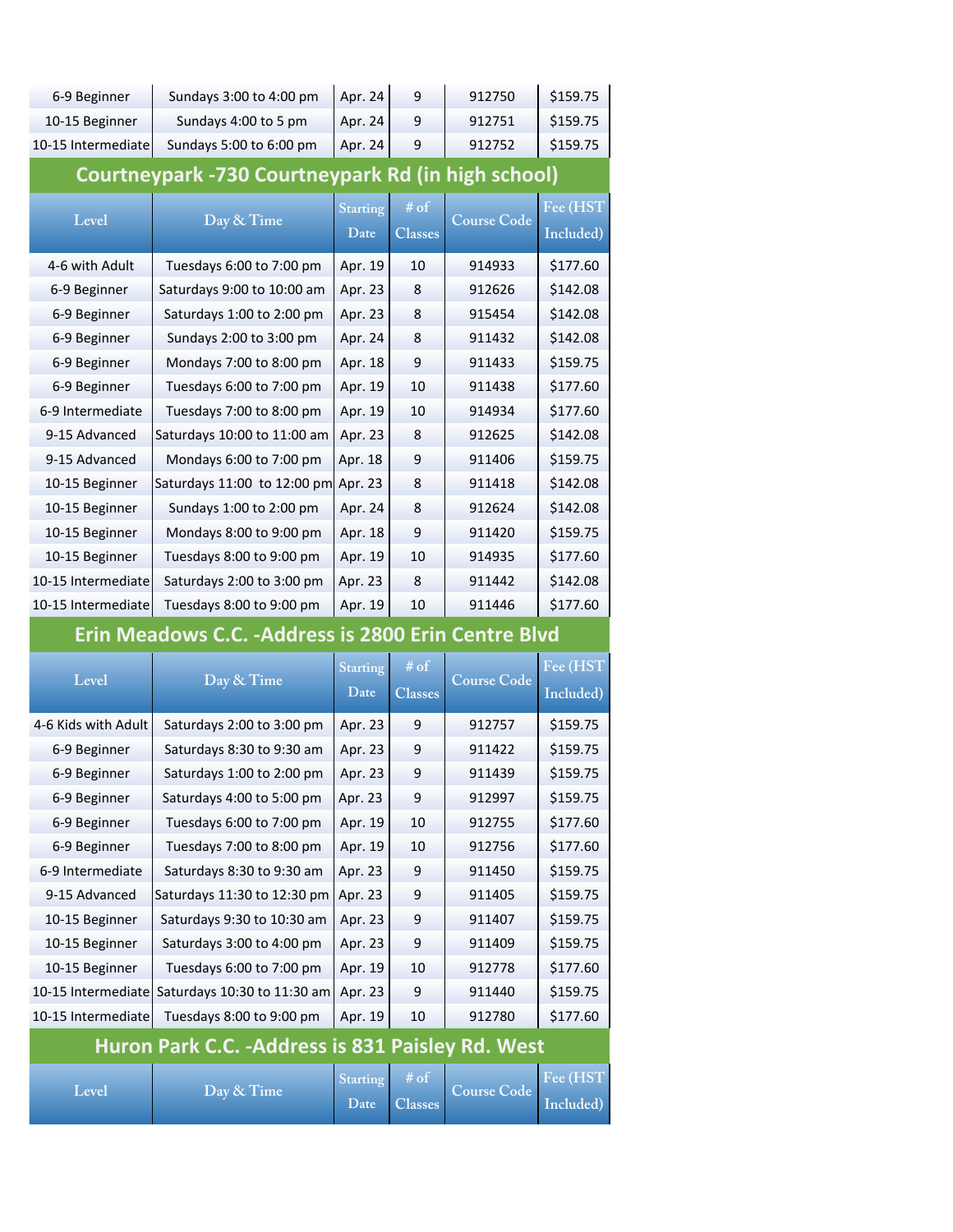| 6-9 Beginner                                              | Sundays 3:00 to 4:00 pm                              | Apr. 24                 | 9                      | 912750             | \$159.75  |  |  |
|-----------------------------------------------------------|------------------------------------------------------|-------------------------|------------------------|--------------------|-----------|--|--|
| 10-15 Beginner                                            | Sundays 4:00 to 5 pm                                 | Apr. 24                 | 9                      | 912751             | \$159.75  |  |  |
| 10-15 Intermediate                                        | Sundays 5:00 to 6:00 pm                              | Apr. 24                 | 9                      | 912752             | \$159.75  |  |  |
|                                                           |                                                      |                         |                        |                    |           |  |  |
| <b>Courtneypark -730 Courtneypark Rd (in high school)</b> |                                                      |                         |                        |                    |           |  |  |
| Level                                                     | Day & Time                                           | <b>Starting</b>         | # of                   | <b>Course Code</b> | Fee (HST) |  |  |
|                                                           |                                                      | Date                    | <b>Classes</b>         |                    | Included) |  |  |
| 4-6 with Adult                                            | Tuesdays 6:00 to 7:00 pm                             | Apr. 19                 | 10                     | 914933             | \$177.60  |  |  |
| 6-9 Beginner                                              | Saturdays 9:00 to 10:00 am                           | Apr. 23                 | 8                      | 912626             | \$142.08  |  |  |
| 6-9 Beginner                                              | Saturdays 1:00 to 2:00 pm                            | Apr. 23                 | 8                      | 915454             | \$142.08  |  |  |
| 6-9 Beginner                                              | Sundays 2:00 to 3:00 pm                              | Apr. 24                 | 8                      | 911432             | \$142.08  |  |  |
| 6-9 Beginner                                              | Mondays 7:00 to 8:00 pm                              | Apr. 18                 | 9                      | 911433             | \$159.75  |  |  |
| 6-9 Beginner                                              | Tuesdays 6:00 to 7:00 pm                             | Apr. 19                 | 10                     | 911438             | \$177.60  |  |  |
| 6-9 Intermediate                                          | Tuesdays 7:00 to 8:00 pm                             | Apr. 19                 | 10                     | 914934             | \$177.60  |  |  |
| 9-15 Advanced                                             | Saturdays 10:00 to 11:00 am                          | Apr. 23                 | 8                      | 912625             | \$142.08  |  |  |
| 9-15 Advanced                                             | Mondays 6:00 to 7:00 pm                              | Apr. 18                 | 9                      | 911406             | \$159.75  |  |  |
| 10-15 Beginner                                            | Saturdays 11:00 to 12:00 pm                          | Apr. 23                 | 8                      | 911418             | \$142.08  |  |  |
| 10-15 Beginner                                            | Sundays 1:00 to 2:00 pm                              | Apr. 24                 | 8                      | 912624             | \$142.08  |  |  |
| 10-15 Beginner                                            | Mondays 8:00 to 9:00 pm                              | Apr. 18                 | 9                      | 911420             | \$159.75  |  |  |
| 10-15 Beginner                                            | Tuesdays 8:00 to 9:00 pm                             | Apr. 19                 | 10                     | 914935             | \$177.60  |  |  |
| 10-15 Intermediate                                        | Saturdays 2:00 to 3:00 pm                            | Apr. 23                 | 8                      | 911442             | \$142.08  |  |  |
| 10-15 Intermediate                                        | Tuesdays 8:00 to 9:00 pm                             | Apr. 19                 | 10                     | 911446             | \$177.60  |  |  |
|                                                           |                                                      |                         |                        |                    |           |  |  |
|                                                           | Erin Meadows C.C. - Address is 2800 Erin Centre Blvd |                         |                        |                    |           |  |  |
|                                                           |                                                      |                         |                        |                    |           |  |  |
| Level                                                     | Day & Time                                           | <b>Starting</b><br>Date | # of<br><b>Classes</b> | <b>Course Code</b> | Fee (HST  |  |  |
|                                                           |                                                      |                         |                        |                    | Included) |  |  |
| 4-6 Kids with Adult                                       | Saturdays 2:00 to 3:00 pm                            | Apr. 23                 | 9                      | 912757             | \$159.75  |  |  |
| 6-9 Beginner                                              | Saturdays 8:30 to 9:30 am                            | Apr. 23                 | 9                      | 911422             | \$159.75  |  |  |
| 6-9 Beginner                                              | Saturdays 1:00 to 2:00 pm                            | Apr. 23                 | 9                      | 911439             | \$159.75  |  |  |
| 6-9 Beginner                                              | Saturdays 4:00 to 5:00 pm                            | Apr. 23                 | 9                      | 912997             | \$159.75  |  |  |
| 6-9 Beginner                                              | Tuesdays 6:00 to 7:00 pm                             | Apr. 19                 | 10                     | 912755             | \$177.60  |  |  |
| 6-9 Beginner                                              | Tuesdays 7:00 to 8:00 pm                             | Apr. 19                 | 10                     | 912756             | \$177.60  |  |  |
| 6-9 Intermediate                                          | Saturdays 8:30 to 9:30 am                            | Apr. 23                 | 9                      | 911450             | \$159.75  |  |  |
| 9-15 Advanced                                             | Saturdays 11:30 to 12:30 pm                          | Apr. 23                 | 9                      | 911405             | \$159.75  |  |  |
| 10-15 Beginner                                            | Saturdays 9:30 to 10:30 am                           | Apr. 23                 | 9                      | 911407             | \$159.75  |  |  |
| 10-15 Beginner                                            | Saturdays 3:00 to 4:00 pm                            | Apr. 23                 | 9                      | 911409             | \$159.75  |  |  |
| 10-15 Beginner                                            | Tuesdays 6:00 to 7:00 pm                             | Apr. 19                 | 10                     | 912778             | \$177.60  |  |  |
| 10-15 Intermediate                                        | Saturdays 10:30 to 11:30 am                          | Apr. 23                 | 9                      | 911440             | \$159.75  |  |  |
| 10-15 Intermediate                                        | Tuesdays 8:00 to 9:00 pm                             | Apr. 19                 | 10                     | 912780             | \$177.60  |  |  |
|                                                           | Huron Park C.C. - Address is 831 Paisley Rd. West    |                         |                        |                    |           |  |  |
| Level                                                     | Day & Time                                           | <b>Starting</b>         | $\frac{\#}{\text{of}}$ | <b>Course Code</b> | Fee (HST  |  |  |